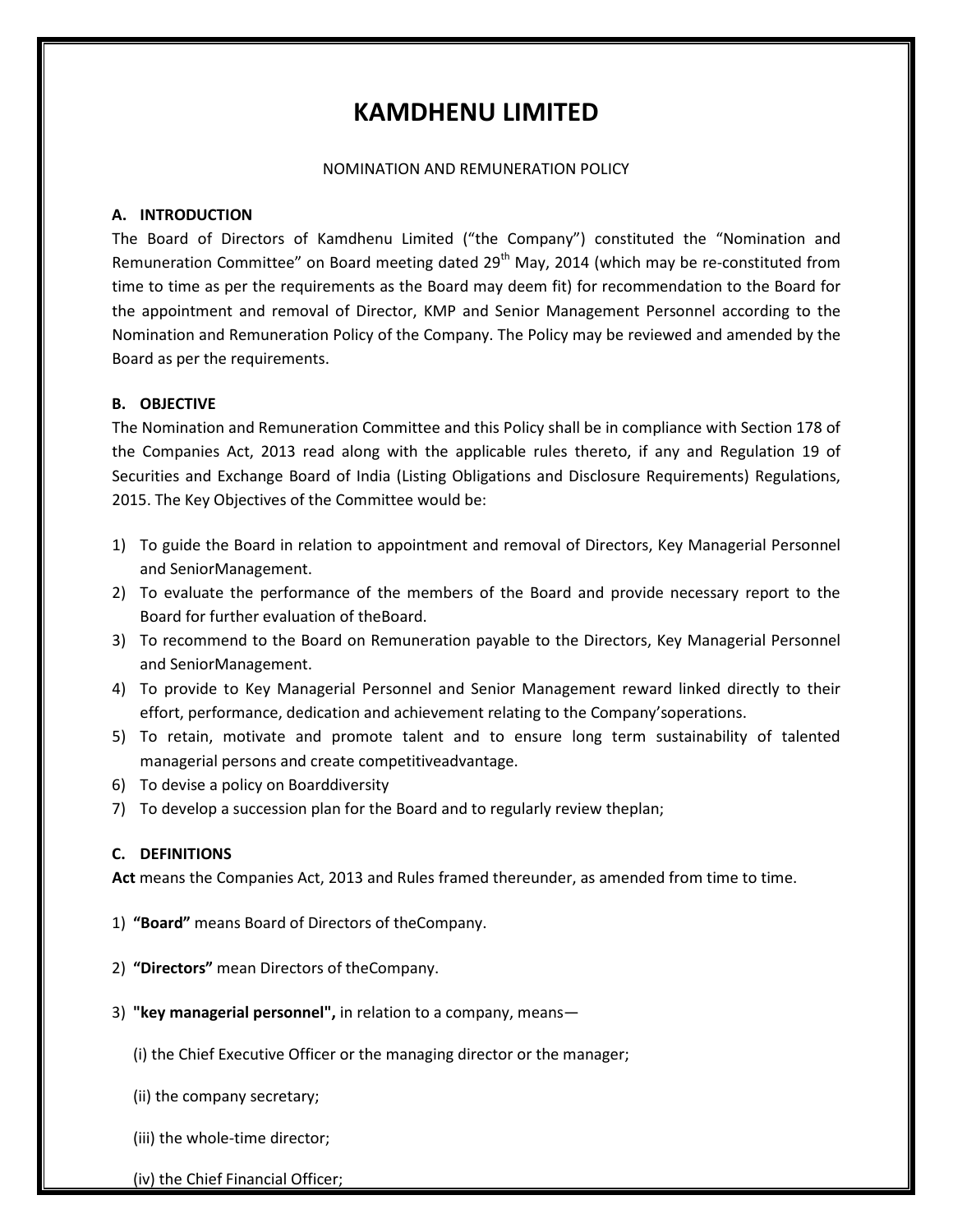# **KAMDHENU LIMITED**

#### NOMINATION AND REMUNERATION POLICY

### **A. INTRODUCTION**

The Board of Directors of Kamdhenu Limited ("the Company") constituted the "Nomination and Remuneration Committee" on Board meeting dated 29<sup>th</sup> May, 2014 (which may be re-constituted from time to time as per the requirements as the Board may deem fit) for recommendation to the Board for the appointment and removal of Director, KMP and Senior Management Personnel according to the Nomination and Remuneration Policy of the Company. The Policy may be reviewed and amended by the Board as per the requirements.

### **B. OBJECTIVE**

The Nomination and Remuneration Committee and this Policy shall be in compliance with Section 178 of the Companies Act, 2013 read along with the applicable rules thereto, if any and Regulation 19 of Securities and Exchange Board of India (Listing Obligations and Disclosure Requirements) Regulations, 2015. The Key Objectives of the Committee would be:

- 1) To guide the Board in relation to appointment and removal of Directors, Key Managerial Personnel and SeniorManagement.
- 2) To evaluate the performance of the members of the Board and provide necessary report to the Board for further evaluation of theBoard.
- 3) To recommend to the Board on Remuneration payable to the Directors, Key Managerial Personnel and SeniorManagement.
- 4) To provide to Key Managerial Personnel and Senior Management reward linked directly to their effort, performance, dedication and achievement relating to the Company'soperations.
- 5) To retain, motivate and promote talent and to ensure long term sustainability of talented managerial persons and create competitiveadvantage.
- 6) To devise a policy on Boarddiversity
- 7) To develop a succession plan for the Board and to regularly review theplan;

### **C. DEFINITIONS**

**Act** means the Companies Act, 2013 and Rules framed thereunder, as amended from time to time.

- 1) **"Board"** means Board of Directors of theCompany.
- 2) **"Directors"** mean Directors of theCompany.
- 3) **"key managerial personnel",** in relation to a company, means—
	- (i) the Chief Executive Officer or the managing director or the manager;
	- (ii) the company secretary;
	- (iii) the whole-time director;
	- (iv) the Chief Financial Officer;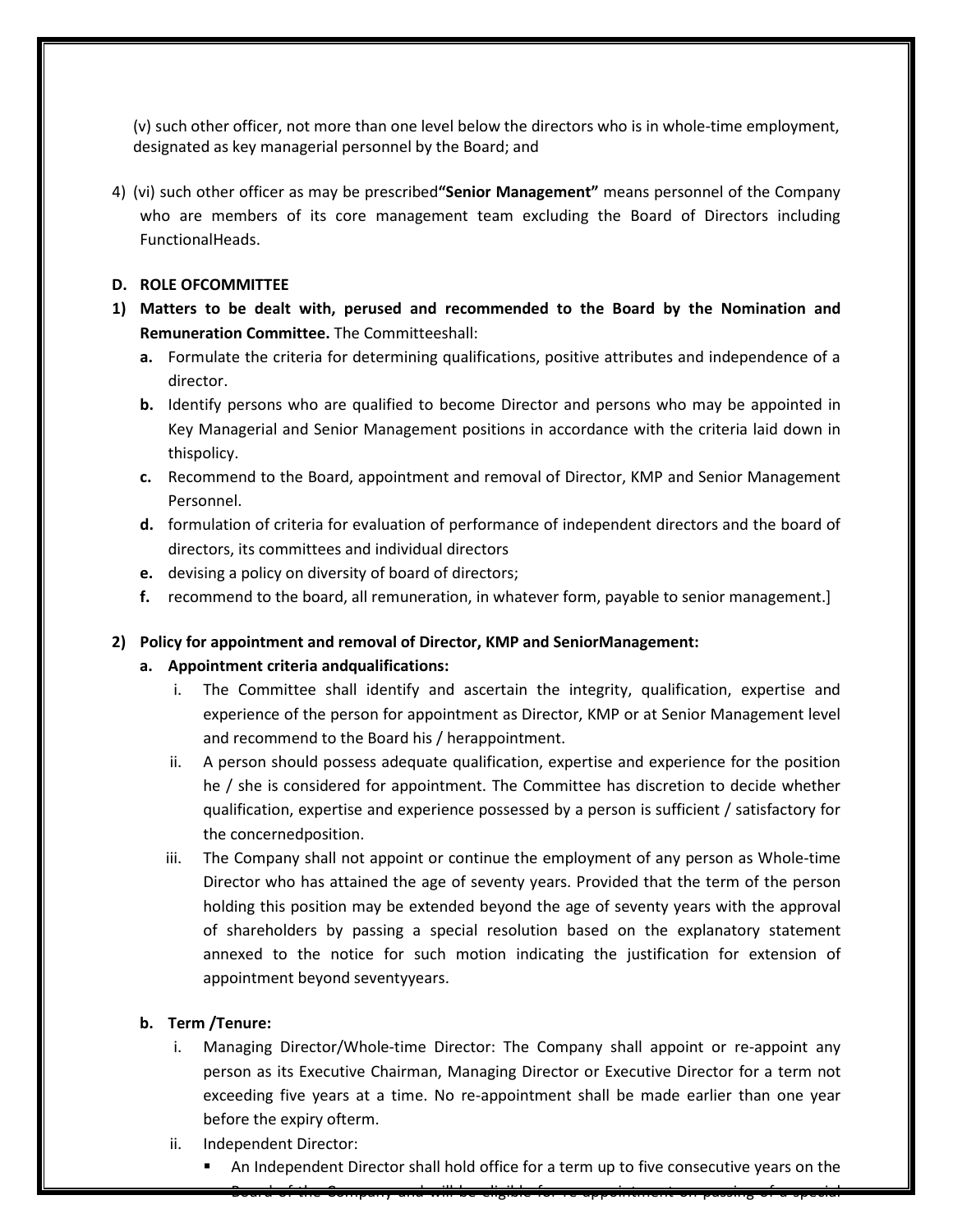(v) such other officer, not more than one level below the directors who is in whole-time employment, designated as key managerial personnel by the Board; and

4) (vi) such other officer as may be prescribed**"Senior Management"** means personnel of the Company who are members of its core management team excluding the Board of Directors including FunctionalHeads.

### **D. ROLE OFCOMMITTEE**

- **1) Matters to be dealt with, perused and recommended to the Board by the Nomination and Remuneration Committee.** The Committeeshall:
	- **a.** Formulate the criteria for determining qualifications, positive attributes and independence of a director.
	- **b.** Identify persons who are qualified to become Director and persons who may be appointed in Key Managerial and Senior Management positions in accordance with the criteria laid down in thispolicy.
	- **c.** Recommend to the Board, appointment and removal of Director, KMP and Senior Management Personnel.
	- **d.** formulation of criteria for evaluation of performance of independent directors and the board of directors, its committees and individual directors
	- **e.** devising a policy on diversity of board of directors;
	- **f.** recommend to the board, all remuneration, in whatever form, payable to senior management.]

### **2) Policy for appointment and removal of Director, KMP and SeniorManagement:**

### **a. Appointment criteria andqualifications:**

- i. The Committee shall identify and ascertain the integrity, qualification, expertise and experience of the person for appointment as Director, KMP or at Senior Management level and recommend to the Board his / herappointment.
- ii. A person should possess adequate qualification, expertise and experience for the position he / she is considered for appointment. The Committee has discretion to decide whether qualification, expertise and experience possessed by a person is sufficient / satisfactory for the concernedposition.
- iii. The Company shall not appoint or continue the employment of any person as Whole-time Director who has attained the age of seventy years. Provided that the term of the person holding this position may be extended beyond the age of seventy years with the approval of shareholders by passing a special resolution based on the explanatory statement annexed to the notice for such motion indicating the justification for extension of appointment beyond seventyyears.

### **b. Term /Tenure:**

- i. Managing Director/Whole-time Director: The Company shall appoint or re-appoint any person as its Executive Chairman, Managing Director or Executive Director for a term not exceeding five years at a time. No re-appointment shall be made earlier than one year before the expiry ofterm.
- ii. Independent Director:
	- An Independent Director shall hold office for a term up to five consecutive years on the

Board of the Company and will be eligible for re-appointment on passing of a special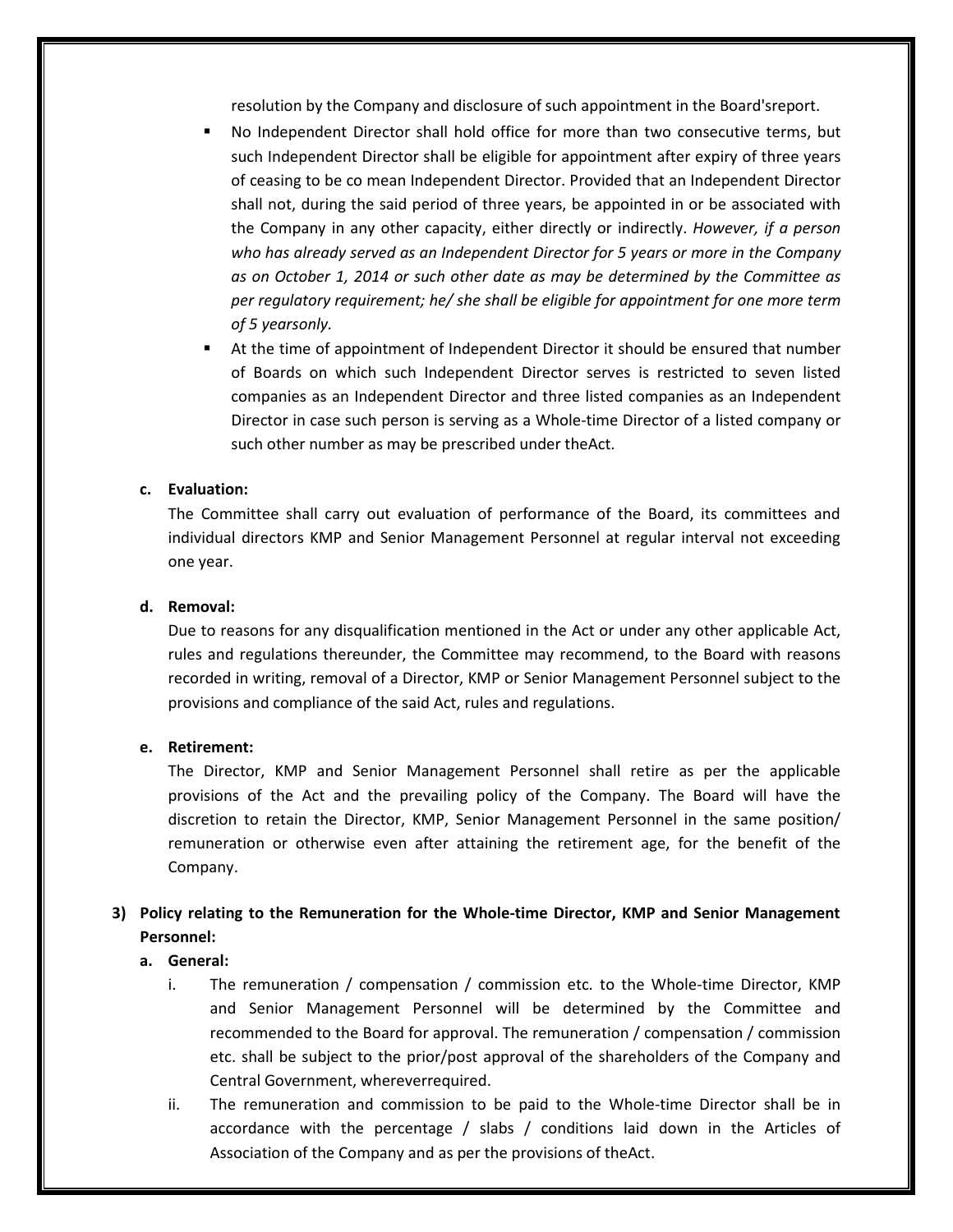resolution by the Company and disclosure of such appointment in the Board'sreport.

- No Independent Director shall hold office for more than two consecutive terms, but such Independent Director shall be eligible for appointment after expiry of three years of ceasing to be co mean Independent Director. Provided that an Independent Director shall not, during the said period of three years, be appointed in or be associated with the Company in any other capacity, either directly or indirectly. *However, if a person who has already served as an Independent Director for 5 years or more in the Company as on October 1, 2014 or such other date as may be determined by the Committee as per regulatory requirement; he/ she shall be eligible for appointment for one more term of 5 yearsonly.*
- At the time of appointment of Independent Director it should be ensured that number of Boards on which such Independent Director serves is restricted to seven listed companies as an Independent Director and three listed companies as an Independent Director in case such person is serving as a Whole-time Director of a listed company or such other number as may be prescribed under theAct.

### **c. Evaluation:**

The Committee shall carry out evaluation of performance of the Board, its committees and individual directors KMP and Senior Management Personnel at regular interval not exceeding one year.

### **d. Removal:**

Due to reasons for any disqualification mentioned in the Act or under any other applicable Act, rules and regulations thereunder, the Committee may recommend, to the Board with reasons recorded in writing, removal of a Director, KMP or Senior Management Personnel subject to the provisions and compliance of the said Act, rules and regulations.

### **e. Retirement:**

The Director, KMP and Senior Management Personnel shall retire as per the applicable provisions of the Act and the prevailing policy of the Company. The Board will have the discretion to retain the Director, KMP, Senior Management Personnel in the same position/ remuneration or otherwise even after attaining the retirement age, for the benefit of the Company.

# **3) Policy relating to the Remuneration for the Whole-time Director, KMP and Senior Management Personnel:**

### **a. General:**

- i. The remuneration / compensation / commission etc. to the Whole-time Director, KMP and Senior Management Personnel will be determined by the Committee and recommended to the Board for approval. The remuneration / compensation / commission etc. shall be subject to the prior/post approval of the shareholders of the Company and Central Government, whereverrequired.
- ii. The remuneration and commission to be paid to the Whole-time Director shall be in accordance with the percentage / slabs / conditions laid down in the Articles of Association of the Company and as per the provisions of theAct.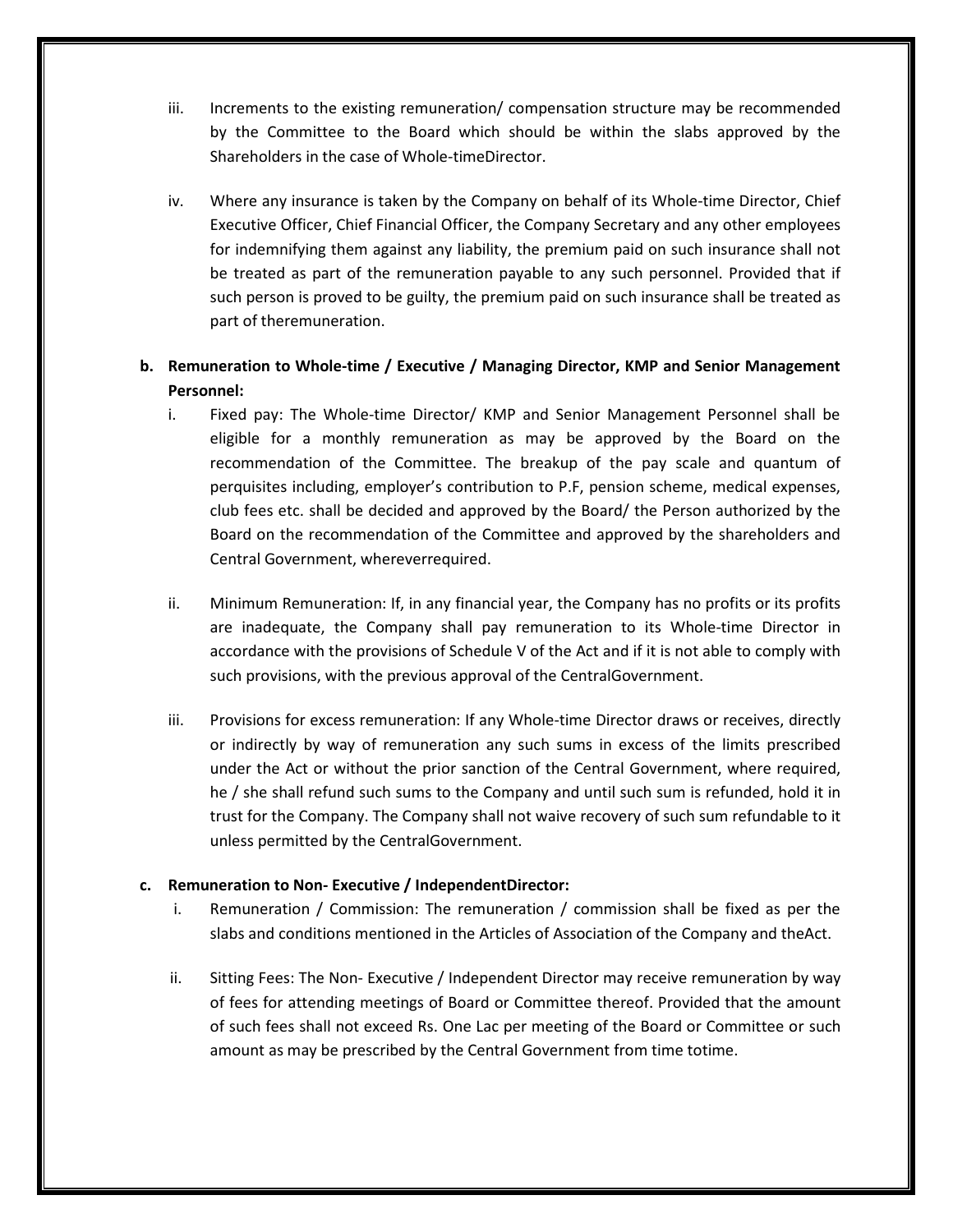- iii. Increments to the existing remuneration/ compensation structure may be recommended by the Committee to the Board which should be within the slabs approved by the Shareholders in the case of Whole-timeDirector.
- iv. Where any insurance is taken by the Company on behalf of its Whole-time Director, Chief Executive Officer, Chief Financial Officer, the Company Secretary and any other employees for indemnifying them against any liability, the premium paid on such insurance shall not be treated as part of the remuneration payable to any such personnel. Provided that if such person is proved to be guilty, the premium paid on such insurance shall be treated as part of theremuneration.

# **b. Remuneration to Whole-time / Executive / Managing Director, KMP and Senior Management Personnel:**

- i. Fixed pay: The Whole-time Director/ KMP and Senior Management Personnel shall be eligible for a monthly remuneration as may be approved by the Board on the recommendation of the Committee. The breakup of the pay scale and quantum of perquisites including, employer's contribution to P.F, pension scheme, medical expenses, club fees etc. shall be decided and approved by the Board/ the Person authorized by the Board on the recommendation of the Committee and approved by the shareholders and Central Government, whereverrequired.
- ii. Minimum Remuneration: If, in any financial year, the Company has no profits or its profits are inadequate, the Company shall pay remuneration to its Whole-time Director in accordance with the provisions of Schedule V of the Act and if it is not able to comply with such provisions, with the previous approval of the CentralGovernment.
- iii. Provisions for excess remuneration: If any Whole-time Director draws or receives, directly or indirectly by way of remuneration any such sums in excess of the limits prescribed under the Act or without the prior sanction of the Central Government, where required, he / she shall refund such sums to the Company and until such sum is refunded, hold it in trust for the Company. The Company shall not waive recovery of such sum refundable to it unless permitted by the CentralGovernment.

### **c. Remuneration to Non- Executive / IndependentDirector:**

- i. Remuneration / Commission: The remuneration / commission shall be fixed as per the slabs and conditions mentioned in the Articles of Association of the Company and theAct.
- ii. Sitting Fees: The Non- Executive / Independent Director may receive remuneration by way of fees for attending meetings of Board or Committee thereof. Provided that the amount of such fees shall not exceed Rs. One Lac per meeting of the Board or Committee or such amount as may be prescribed by the Central Government from time totime.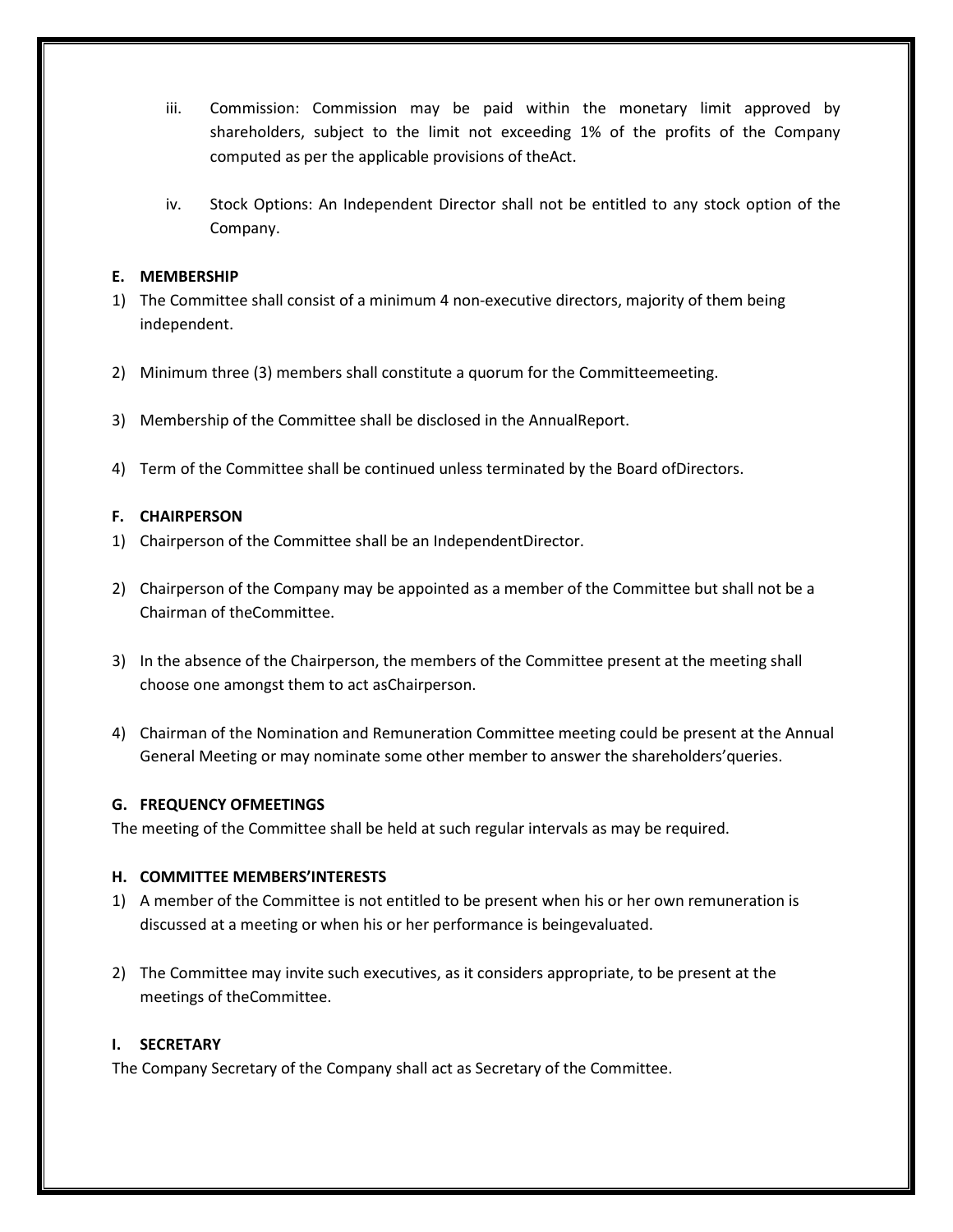- iii. Commission: Commission may be paid within the monetary limit approved by shareholders, subject to the limit not exceeding 1% of the profits of the Company computed as per the applicable provisions of theAct.
- iv. Stock Options: An Independent Director shall not be entitled to any stock option of the Company.

# **E. MEMBERSHIP**

- 1) The Committee shall consist of a minimum 4 non-executive directors, majority of them being independent.
- 2) Minimum three (3) members shall constitute a quorum for the Committeemeeting.
- 3) Membership of the Committee shall be disclosed in the AnnualReport.
- 4) Term of the Committee shall be continued unless terminated by the Board ofDirectors.

### **F. CHAIRPERSON**

- 1) Chairperson of the Committee shall be an IndependentDirector.
- 2) Chairperson of the Company may be appointed as a member of the Committee but shall not be a Chairman of theCommittee.
- 3) In the absence of the Chairperson, the members of the Committee present at the meeting shall choose one amongst them to act asChairperson.
- 4) Chairman of the Nomination and Remuneration Committee meeting could be present at the Annual General Meeting or may nominate some other member to answer the shareholders'queries.

### **G. FREQUENCY OFMEETINGS**

The meeting of the Committee shall be held at such regular intervals as may be required.

### **H. COMMITTEE MEMBERS'INTERESTS**

- 1) A member of the Committee is not entitled to be present when his or her own remuneration is discussed at a meeting or when his or her performance is beingevaluated.
- 2) The Committee may invite such executives, as it considers appropriate, to be present at the meetings of theCommittee.

### **I. SECRETARY**

The Company Secretary of the Company shall act as Secretary of the Committee.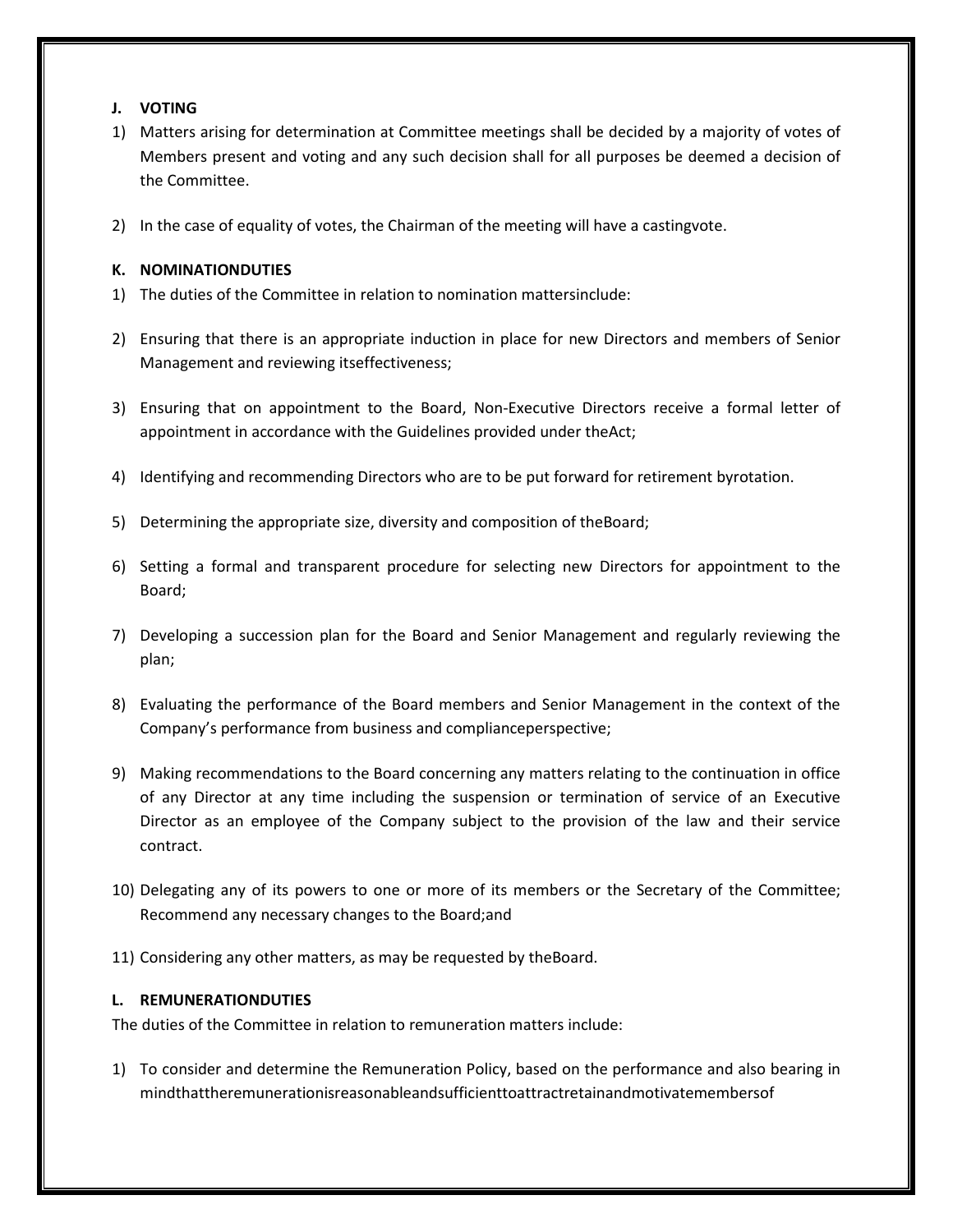### **J. VOTING**

- 1) Matters arising for determination at Committee meetings shall be decided by a majority of votes of Members present and voting and any such decision shall for all purposes be deemed a decision of the Committee.
- 2) In the case of equality of votes, the Chairman of the meeting will have a castingvote.

# **K. NOMINATIONDUTIES**

- 1) The duties of the Committee in relation to nomination mattersinclude:
- 2) Ensuring that there is an appropriate induction in place for new Directors and members of Senior Management and reviewing itseffectiveness;
- 3) Ensuring that on appointment to the Board, Non-Executive Directors receive a formal letter of appointment in accordance with the Guidelines provided under theAct;
- 4) Identifying and recommending Directors who are to be put forward for retirement byrotation.
- 5) Determining the appropriate size, diversity and composition of theBoard;
- 6) Setting a formal and transparent procedure for selecting new Directors for appointment to the Board;
- 7) Developing a succession plan for the Board and Senior Management and regularly reviewing the plan;
- 8) Evaluating the performance of the Board members and Senior Management in the context of the Company's performance from business and complianceperspective;
- 9) Making recommendations to the Board concerning any matters relating to the continuation in office of any Director at any time including the suspension or termination of service of an Executive Director as an employee of the Company subject to the provision of the law and their service contract.
- 10) Delegating any of its powers to one or more of its members or the Secretary of the Committee; Recommend any necessary changes to the Board;and
- 11) Considering any other matters, as may be requested by theBoard.

# **L. REMUNERATIONDUTIES**

The duties of the Committee in relation to remuneration matters include:

1) To consider and determine the Remuneration Policy, based on the performance and also bearing in mindthattheremunerationisreasonableandsufficienttoattractretainandmotivatemembersof